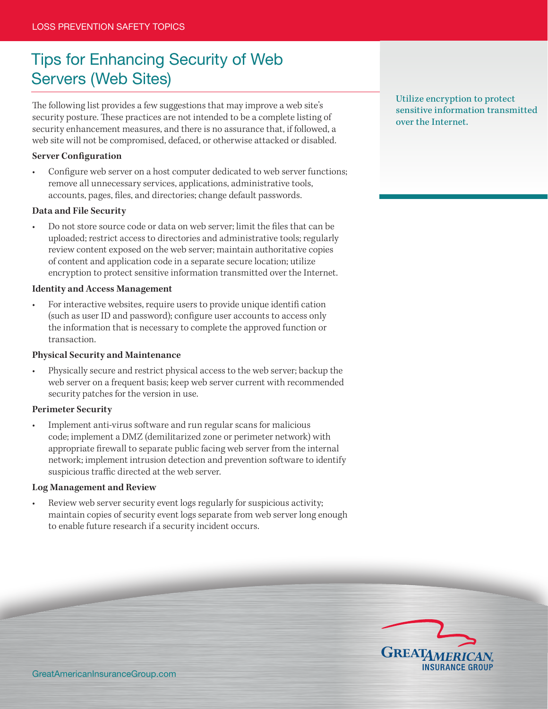# Tips for Enhancing Security of Web Servers (Web Sites)

The following list provides a few suggestions that may improve a web site's security posture. These practices are not intended to be a complete listing of security enhancement measures, and there is no assurance that, if followed, a web site will not be compromised, defaced, or otherwise attacked or disabled.

## **Server Configuration**

Configure web server on a host computer dedicated to web server functions; remove all unnecessary services, applications, administrative tools, accounts, pages, files, and directories; change default passwords.

#### **Data and File Security**

Do not store source code or data on web server; limit the files that can be uploaded; restrict access to directories and administrative tools; regularly review content exposed on the web server; maintain authoritative copies of content and application code in a separate secure location; utilize encryption to protect sensitive information transmitted over the Internet.

#### **Identity and Access Management**

For interactive websites, require users to provide unique identifi cation (such as user ID and password); configure user accounts to access only the information that is necessary to complete the approved function or transaction.

#### **Physical Security and Maintenance**

Physically secure and restrict physical access to the web server; backup the web server on a frequent basis; keep web server current with recommended security patches for the version in use.

#### **Perimeter Security**

Implement anti-virus software and run regular scans for malicious code; implement a DMZ (demilitarized zone or perimeter network) with appropriate firewall to separate public facing web server from the internal network; implement intrusion detection and prevention software to identify suspicious traffic directed at the web server.

## **Log Management and Review**

Review web server security event logs regularly for suspicious activity; maintain copies of security event logs separate from web server long enough to enable future research if a security incident occurs.

Utilize encryption to protect sensitive information transmitted over the Internet.